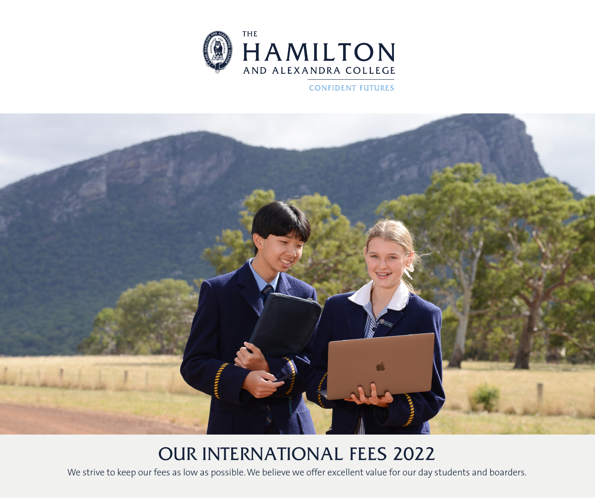

**CONFIDENT FUTURES** 



# OUR INTERNATIONAL FEES 2022

We strive to keep our fees as low as possible. We believe we offer excellent value for our day students and boarders.